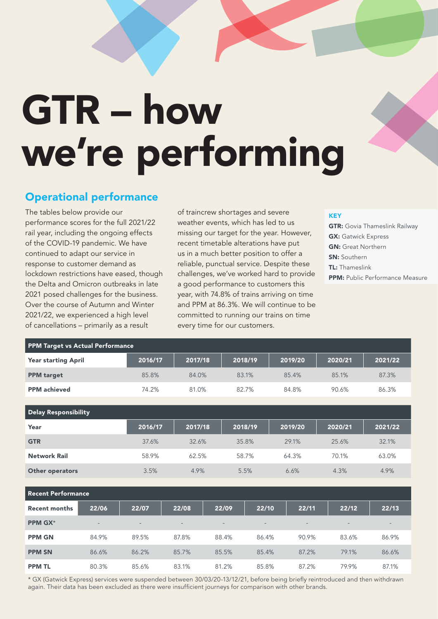# GTR – how we're performing

# Operational performance

The tables below provide our performance scores for the full 2021/22 rail year, including the ongoing effects of the COVID-19 pandemic. We have continued to adapt our service in response to customer demand as lockdown restrictions have eased, though the Delta and Omicron outbreaks in late 2021 posed challenges for the business. Over the course of Autumn and Winter 2021/22, we experienced a high level of cancellations – primarily as a result

PPM Target vs Actual Performance

of traincrew shortages and severe weather events, which has led to us missing our target for the year. However, recent timetable alterations have put us in a much better position to offer a reliable, punctual service. Despite these challenges, we've worked hard to provide a good performance to customers this year, with 74.8% of trains arriving on time and PPM at 86.3%. We will continue to be committed to running our trains on time every time for our customers.

#### **KEY**

**GTR:** Govia Thameslink Railway **GX: Gatwick Express** GN: Great Northern SN: Southern TL: Thameslink PPM: Public Performance Measure

| <b>Year starting April</b> | 2016/17 | 2017/18 | 2018/19 | 2019/20 | 2020/21 | 2021/22 |
|----------------------------|---------|---------|---------|---------|---------|---------|
| <b>PPM</b> target          | 85.8%   | 84.0%   | 83.1%   | 85.4%   | 85.1%   | 87.3%   |
| <b>PPM</b> achieved        | 74.2%   | 81.0%   | 82.7%   | 84.8%   | 90.6%   | 86.3%   |
|                            |         |         |         |         |         |         |
| Delay Responsibility       |         |         |         |         |         |         |
|                            |         |         |         |         |         |         |
| Year                       | 2016/17 | 2017/18 | 2018/19 | 2019/20 | 2020/21 | 2021/22 |
| <b>GTR</b>                 | 37.6%   | 32.6%   | 35.8%   | 29.1%   | 25.6%   | 32.1%   |
| <b>Network Rail</b>        | 58.9%   | 62.5%   | 58.7%   | 64.3%   | 70.1%   | 63.0%   |
| Other operators            | 3.5%    | 4.9%    | 5.5%    | 6.6%    | 4.3%    | 4.9%    |

| l Recent Performance |                          |       |                          |                          |                          |                          |       |       |  |
|----------------------|--------------------------|-------|--------------------------|--------------------------|--------------------------|--------------------------|-------|-------|--|
| <b>Recent months</b> | 22/06                    | 22/07 | 22/08                    | 22/09                    | 22/10                    | 22/11                    | 22/12 | 22/13 |  |
| <b>PPM GX*</b>       | $\overline{\phantom{0}}$ | $-$   | $\overline{\phantom{a}}$ | $\overline{\phantom{a}}$ | $\overline{\phantom{a}}$ | $\overline{\phantom{0}}$ | $-$   | $-$   |  |
| <b>PPM GN</b>        | 84.9%                    | 89.5% | 87.8%                    | 88.4%                    | 86.4%                    | 90.9%                    | 83.6% | 86.9% |  |
| <b>PPM SN</b>        | 86.6%                    | 86.2% | 85.7%                    | 85.5%                    | 85.4%                    | 87.2%                    | 79.1% | 86.6% |  |
| <b>PPM TL</b>        | 80.3%                    | 85.6% | 83.1%                    | 81.2%                    | 85.8%                    | 87.2%                    | 79.9% | 87.1% |  |

\* GX (Gatwick Express) services were suspended between 30/03/20-13/12/21, before being briefly reintroduced and then withdrawn again. Their data has been excluded as there were insufficient journeys for comparison with other brands.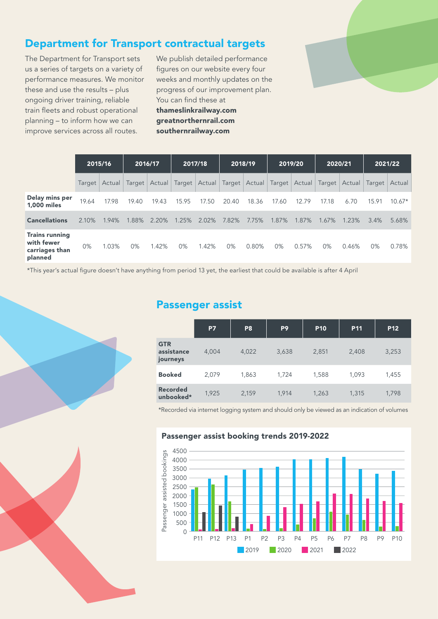# Department for Transport contractual targets

The Department for Transport sets us a series of targets on a variety of performance measures. We monitor these and use the results – plus ongoing driver training, reliable train fleets and robust operational planning – to inform how we can improve services across all routes.

We publish detailed performance figures on our website every four weeks and monthly updates on the progress of our improvement plan. You can find these at [thameslinkrailway.com](https://www.thameslinkrailway.com/) [greatnorthernrail.com](https://www.greatnorthernrail.com/ ) [southernrailway.com](https://www.southernrailway.com/)



|                                                                  |       | 2015/16         | 2016/17 |       | 2017/18     |       | 2018/19 |       | 2019/20 |       | 2020/21  |                                                                                     |       | 2021/22  |
|------------------------------------------------------------------|-------|-----------------|---------|-------|-------------|-------|---------|-------|---------|-------|----------|-------------------------------------------------------------------------------------|-------|----------|
|                                                                  |       | Target   Actual |         |       |             |       |         |       |         |       |          | Target Actual Target Actual Target Actual Target Actual Target Actual Target Actual |       |          |
| Delay mins per<br><b>1.000 miles</b>                             | 19.64 | 17.98           | 19.40   | 19.43 | 15.95       | 17.50 | 20.40   | 18.36 | 17.60   | 12.79 | 17.18    | 6.70                                                                                | 15.91 | $10.67*$ |
| <b>Cancellations</b>                                             | 2.10% | 1.94%           | 1.88%   | 2.20% | 1.25% 2.02% |       | 7.82%   | 7.75% | 1.87%   | 1.87% | $1.67\%$ | 1.23%                                                                               | 3.4%  | 5.68%    |
| <b>Trains running</b><br>with fewer<br>carriages than<br>planned | 0%    | 1.03%           | $0\%$   | 1.42% | $0\%$       | 1.42% | 0%      | 0.80% | $0\%$   | 0.57% | 0%       | 0.46%                                                                               | 0%    | 0.78%    |

\*This year's actual figure doesn't have anything from period 13 yet, the earliest that could be available is after 4 April

## Passenger assist

|                                      | <b>P7</b> | P <sub>8</sub> | P <sub>9</sub> | <b>P10</b> | <b>P11</b> | P <sub>12</sub> |
|--------------------------------------|-----------|----------------|----------------|------------|------------|-----------------|
| <b>GTR</b><br>assistance<br>journeys | 4,004     | 4,022          | 3,638          | 2,851      | 2,408      | 3,253           |
| <b>Booked</b>                        | 2,079     | 1,863          | 1,724          | 1,588      | 1,093      | 1,455           |
| <b>Recorded</b><br>unbooked*         | 1,925     | 2,159          | 1,914          | 1,263      | 1,315      | 1,798           |

\*Recorded via internet logging system and should only be viewed as an indication of volumes

#### Passenger assist booking trends 2019-2022

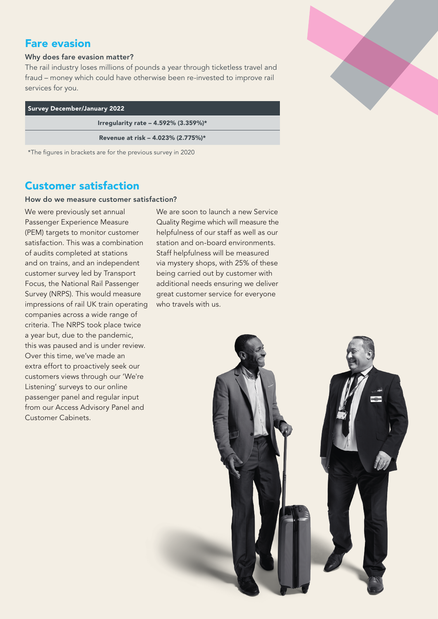## Fare evasion

#### Why does fare evasion matter?

The rail industry loses millions of pounds a year through ticketless travel and fraud – money which could have otherwise been re-invested to improve rail services for you.

| <b>Survey December/January 2022</b>                          |  |  |  |  |  |
|--------------------------------------------------------------|--|--|--|--|--|
| Irregularity rate - 4.592% (3.359%)*                         |  |  |  |  |  |
| Revenue at risk - 4.023% (2.775%)*                           |  |  |  |  |  |
| *The figures in brackets are for the previous survey in 2020 |  |  |  |  |  |

## Customer satisfaction

#### How do we measure customer satisfaction?

We were previously set annual Passenger Experience Measure (PEM) targets to monitor customer satisfaction. This was a combination of audits completed at stations and on trains, and an independent customer survey led by Transport Focus, the National Rail Passenger Survey (NRPS). This would measure impressions of rail UK train operating companies across a wide range of criteria. The NRPS took place twice a year but, due to the pandemic, this was paused and is under review. Over this time, we've made an extra effort to proactively seek our customers views through our 'We're Listening' surveys to our online passenger panel and regular input from our Access Advisory Panel and Customer Cabinets.

We are soon to launch a new Service Quality Regime which will measure the helpfulness of our staff as well as our station and on-board environments. Staff helpfulness will be measured via mystery shops, with 25% of these being carried out by customer with additional needs ensuring we deliver great customer service for everyone who travels with us.